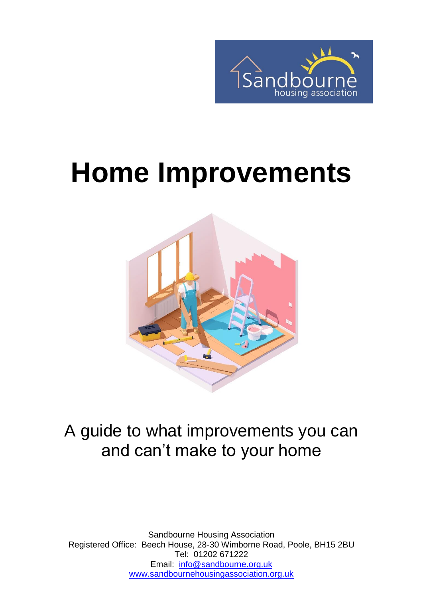

# **Home Improvements**



#### A guide to what improvements you can and can't make to your home

Sandbourne Housing Association Registered Office: Beech House, 28-30 Wimborne Road, Poole, BH15 2BU Tel: 01202 671222 Email: [info@sandbourne.org.uk](mailto:info@sandbourne.org.uk) [www.sandbournehousingassociation.org.uk](http://www.sandbournehousingassociation.org.uk/)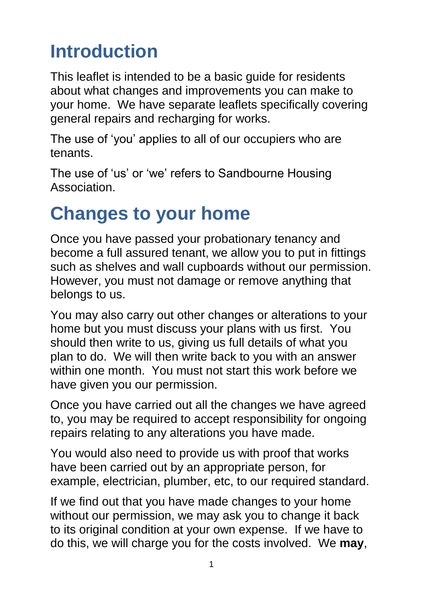## **Introduction**

This leaflet is intended to be a basic guide for residents about what changes and improvements you can make to your home. We have separate leaflets specifically covering general repairs and recharging for works.

The use of 'you' applies to all of our occupiers who are tenants.

The use of 'us' or 'we' refers to Sandbourne Housing Association.

#### **Changes to your home**

Once you have passed your probationary tenancy and become a full assured tenant, we allow you to put in fittings such as shelves and wall cupboards without our permission. However, you must not damage or remove anything that belongs to us.

You may also carry out other changes or alterations to your home but you must discuss your plans with us first. You should then write to us, giving us full details of what you plan to do. We will then write back to you with an answer within one month. You must not start this work before we have given you our permission.

Once you have carried out all the changes we have agreed to, you may be required to accept responsibility for ongoing repairs relating to any alterations you have made.

You would also need to provide us with proof that works have been carried out by an appropriate person, for example, electrician, plumber, etc, to our required standard.

If we find out that you have made changes to your home without our permission, we may ask you to change it back to its original condition at your own expense. If we have to do this, we will charge you for the costs involved. We **may**,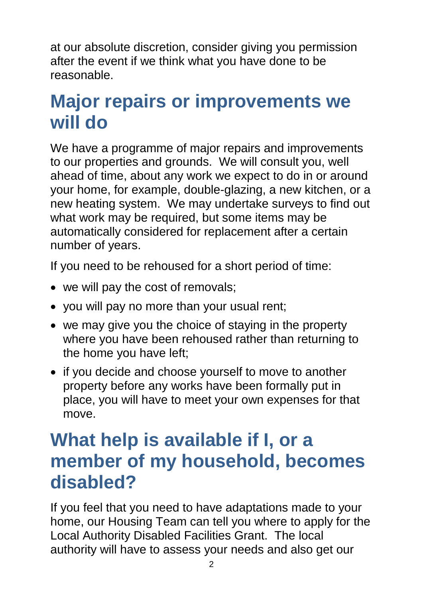at our absolute discretion, consider giving you permission after the event if we think what you have done to be reasonable.

#### **Major repairs or improvements we will do**

We have a programme of major repairs and improvements to our properties and grounds. We will consult you, well ahead of time, about any work we expect to do in or around your home, for example, double-glazing, a new kitchen, or a new heating system. We may undertake surveys to find out what work may be required, but some items may be automatically considered for replacement after a certain number of years.

If you need to be rehoused for a short period of time:

- we will pay the cost of removals;
- you will pay no more than your usual rent;
- we may give you the choice of staying in the property where you have been rehoused rather than returning to the home you have left;
- if you decide and choose yourself to move to another property before any works have been formally put in place, you will have to meet your own expenses for that move.

#### **What help is available if I, or a member of my household, becomes disabled?**

If you feel that you need to have adaptations made to your home, our Housing Team can tell you where to apply for the Local Authority Disabled Facilities Grant. The local authority will have to assess your needs and also get our